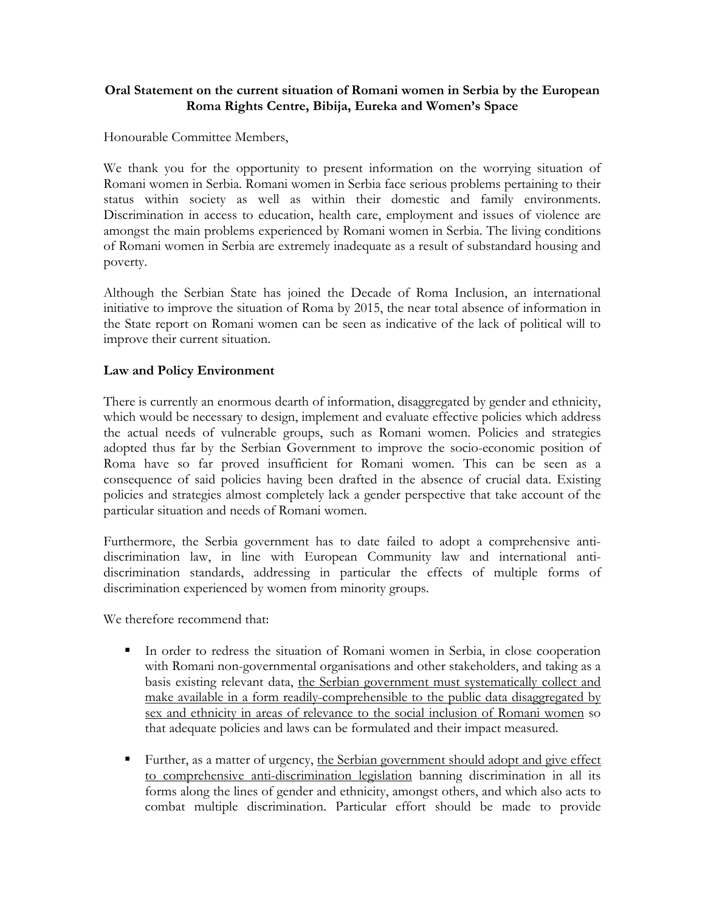# **Oral Statement on the current situation of Romani women in Serbia by the European Roma Rights Centre, Bibija, Eureka and Women's Space**

Honourable Committee Members,

We thank you for the opportunity to present information on the worrying situation of Romani women in Serbia. Romani women in Serbia face serious problems pertaining to their status within society as well as within their domestic and family environments. Discrimination in access to education, health care, employment and issues of violence are amongst the main problems experienced by Romani women in Serbia. The living conditions of Romani women in Serbia are extremely inadequate as a result of substandard housing and poverty.

Although the Serbian State has joined the Decade of Roma Inclusion, an international initiative to improve the situation of Roma by 2015, the near total absence of information in the State report on Romani women can be seen as indicative of the lack of political will to improve their current situation.

#### **Law and Policy Environment**

There is currently an enormous dearth of information, disaggregated by gender and ethnicity, which would be necessary to design, implement and evaluate effective policies which address the actual needs of vulnerable groups, such as Romani women. Policies and strategies adopted thus far by the Serbian Government to improve the socio-economic position of Roma have so far proved insufficient for Romani women. This can be seen as a consequence of said policies having been drafted in the absence of crucial data. Existing policies and strategies almost completely lack a gender perspective that take account of the particular situation and needs of Romani women.

Furthermore, the Serbia government has to date failed to adopt a comprehensive antidiscrimination law, in line with European Community law and international antidiscrimination standards, addressing in particular the effects of multiple forms of discrimination experienced by women from minority groups.

We therefore recommend that:

- In order to redress the situation of Romani women in Serbia, in close cooperation with Romani non-governmental organisations and other stakeholders, and taking as a basis existing relevant data, the Serbian government must systematically collect and make available in a form readily-comprehensible to the public data disaggregated by sex and ethnicity in areas of relevance to the social inclusion of Romani women so that adequate policies and laws can be formulated and their impact measured.
- Further, as a matter of urgency, the Serbian government should adopt and give effect to comprehensive anti-discrimination legislation banning discrimination in all its forms along the lines of gender and ethnicity, amongst others, and which also acts to combat multiple discrimination. Particular effort should be made to provide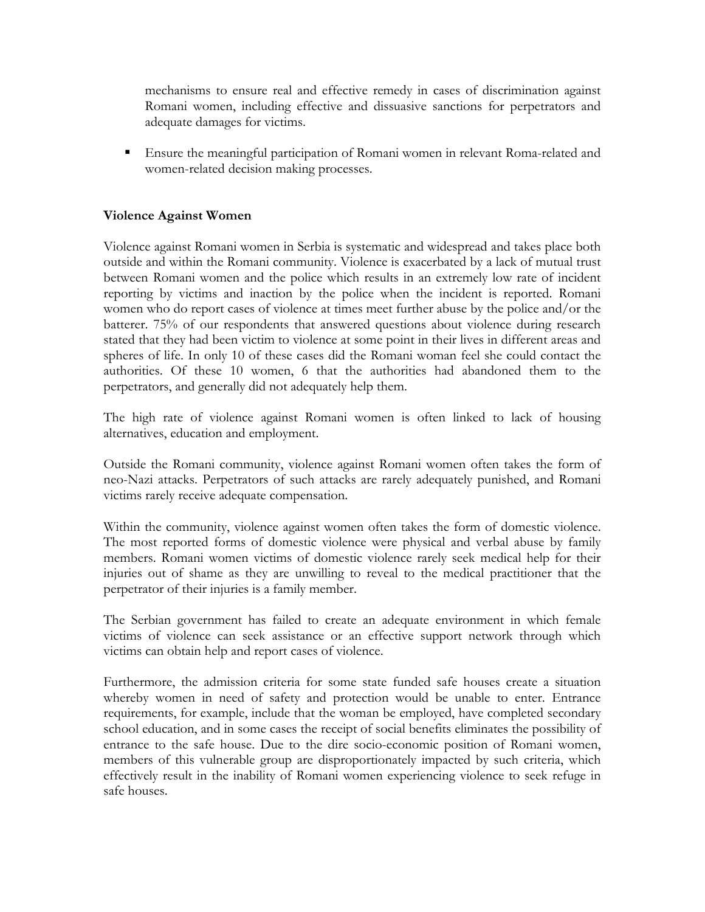mechanisms to ensure real and effective remedy in cases of discrimination against Romani women, including effective and dissuasive sanctions for perpetrators and adequate damages for victims.

 Ensure the meaningful participation of Romani women in relevant Roma-related and women-related decision making processes.

# **Violence Against Women**

Violence against Romani women in Serbia is systematic and widespread and takes place both outside and within the Romani community. Violence is exacerbated by a lack of mutual trust between Romani women and the police which results in an extremely low rate of incident reporting by victims and inaction by the police when the incident is reported. Romani women who do report cases of violence at times meet further abuse by the police and/or the batterer. 75% of our respondents that answered questions about violence during research stated that they had been victim to violence at some point in their lives in different areas and spheres of life. In only 10 of these cases did the Romani woman feel she could contact the authorities. Of these 10 women, 6 that the authorities had abandoned them to the perpetrators, and generally did not adequately help them.

The high rate of violence against Romani women is often linked to lack of housing alternatives, education and employment.

Outside the Romani community, violence against Romani women often takes the form of neo-Nazi attacks. Perpetrators of such attacks are rarely adequately punished, and Romani victims rarely receive adequate compensation.

Within the community, violence against women often takes the form of domestic violence. The most reported forms of domestic violence were physical and verbal abuse by family members. Romani women victims of domestic violence rarely seek medical help for their injuries out of shame as they are unwilling to reveal to the medical practitioner that the perpetrator of their injuries is a family member.

The Serbian government has failed to create an adequate environment in which female victims of violence can seek assistance or an effective support network through which victims can obtain help and report cases of violence.

Furthermore, the admission criteria for some state funded safe houses create a situation whereby women in need of safety and protection would be unable to enter. Entrance requirements, for example, include that the woman be employed, have completed secondary school education, and in some cases the receipt of social benefits eliminates the possibility of entrance to the safe house. Due to the dire socio-economic position of Romani women, members of this vulnerable group are disproportionately impacted by such criteria, which effectively result in the inability of Romani women experiencing violence to seek refuge in safe houses.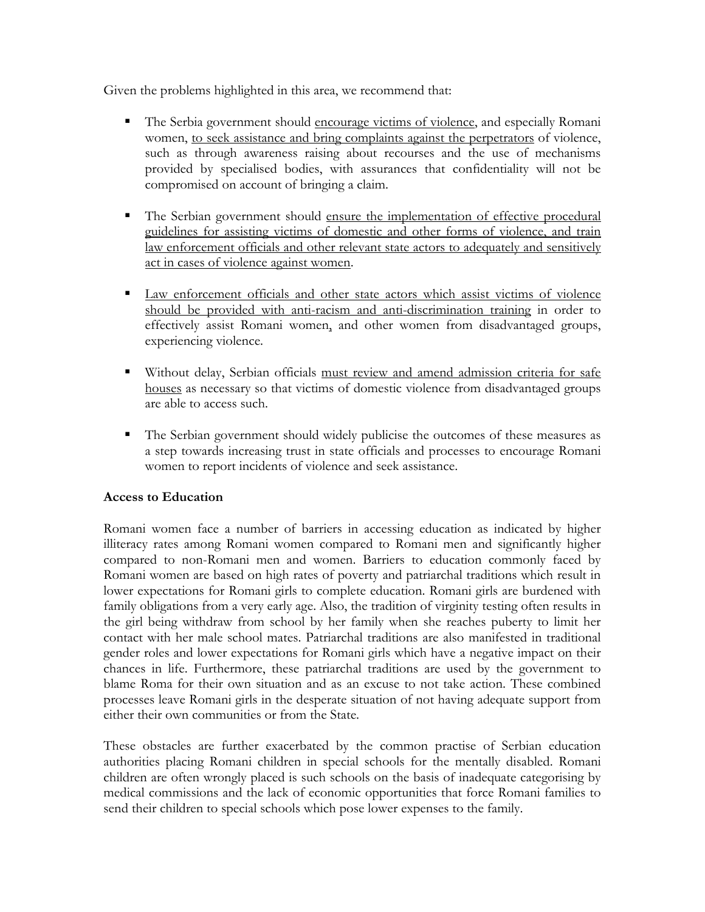Given the problems highlighted in this area, we recommend that:

- The Serbia government should encourage victims of violence, and especially Romani women, to seek assistance and bring complaints against the perpetrators of violence, such as through awareness raising about recourses and the use of mechanisms provided by specialised bodies, with assurances that confidentiality will not be compromised on account of bringing a claim.
- The Serbian government should ensure the implementation of effective procedural guidelines for assisting victims of domestic and other forms of violence, and train law enforcement officials and other relevant state actors to adequately and sensitively act in cases of violence against women.
- **Law enforcement officials and other state actors which assist victims of violence** should be provided with anti-racism and anti-discrimination training in order to effectively assist Romani women, and other women from disadvantaged groups, experiencing violence.
- Without delay, Serbian officials must review and amend admission criteria for safe houses as necessary so that victims of domestic violence from disadvantaged groups are able to access such.
- The Serbian government should widely publicise the outcomes of these measures as a step towards increasing trust in state officials and processes to encourage Romani women to report incidents of violence and seek assistance.

## **Access to Education**

Romani women face a number of barriers in accessing education as indicated by higher illiteracy rates among Romani women compared to Romani men and significantly higher compared to non-Romani men and women. Barriers to education commonly faced by Romani women are based on high rates of poverty and patriarchal traditions which result in lower expectations for Romani girls to complete education. Romani girls are burdened with family obligations from a very early age. Also, the tradition of virginity testing often results in the girl being withdraw from school by her family when she reaches puberty to limit her contact with her male school mates. Patriarchal traditions are also manifested in traditional gender roles and lower expectations for Romani girls which have a negative impact on their chances in life. Furthermore, these patriarchal traditions are used by the government to blame Roma for their own situation and as an excuse to not take action. These combined processes leave Romani girls in the desperate situation of not having adequate support from either their own communities or from the State.

These obstacles are further exacerbated by the common practise of Serbian education authorities placing Romani children in special schools for the mentally disabled. Romani children are often wrongly placed is such schools on the basis of inadequate categorising by medical commissions and the lack of economic opportunities that force Romani families to send their children to special schools which pose lower expenses to the family.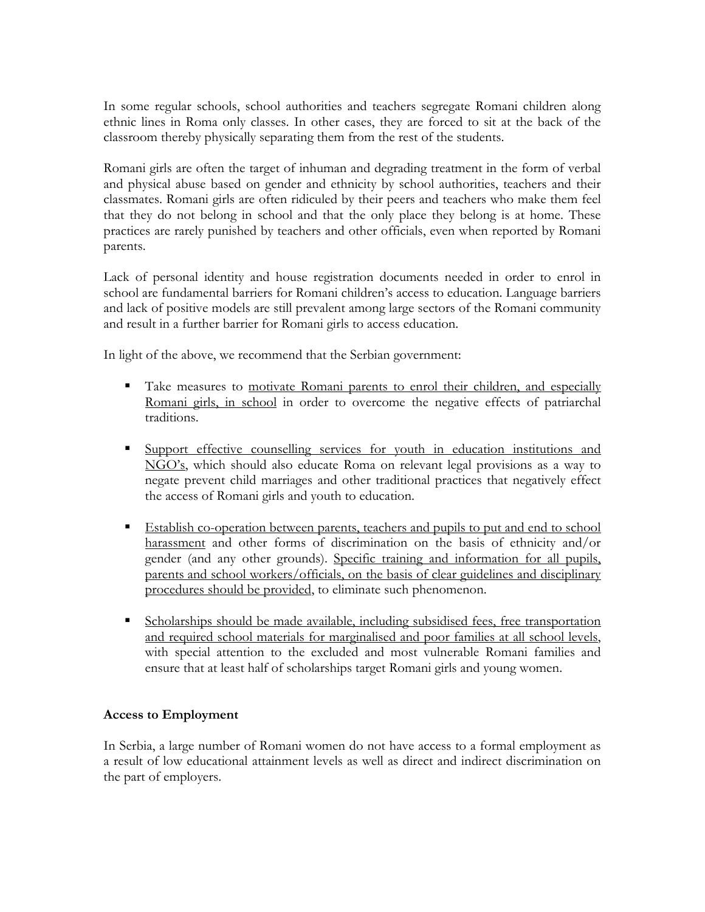In some regular schools, school authorities and teachers segregate Romani children along ethnic lines in Roma only classes. In other cases, they are forced to sit at the back of the classroom thereby physically separating them from the rest of the students.

Romani girls are often the target of inhuman and degrading treatment in the form of verbal and physical abuse based on gender and ethnicity by school authorities, teachers and their classmates. Romani girls are often ridiculed by their peers and teachers who make them feel that they do not belong in school and that the only place they belong is at home. These practices are rarely punished by teachers and other officials, even when reported by Romani parents.

Lack of personal identity and house registration documents needed in order to enrol in school are fundamental barriers for Romani children's access to education. Language barriers and lack of positive models are still prevalent among large sectors of the Romani community and result in a further barrier for Romani girls to access education.

In light of the above, we recommend that the Serbian government:

- Take measures to motivate Romani parents to enrol their children, and especially Romani girls, in school in order to overcome the negative effects of patriarchal traditions.
- **Support effective counselling services for youth in education institutions and** NGO's, which should also educate Roma on relevant legal provisions as a way to negate prevent child marriages and other traditional practices that negatively effect the access of Romani girls and youth to education.
- **Establish co-operation between parents, teachers and pupils to put and end to school** harassment and other forms of discrimination on the basis of ethnicity and/or gender (and any other grounds). Specific training and information for all pupils, parents and school workers/officials, on the basis of clear guidelines and disciplinary procedures should be provided, to eliminate such phenomenon.
- Scholarships should be made available, including subsidised fees, free transportation and required school materials for marginalised and poor families at all school levels, with special attention to the excluded and most vulnerable Romani families and ensure that at least half of scholarships target Romani girls and young women.

## **Access to Employment**

In Serbia, a large number of Romani women do not have access to a formal employment as a result of low educational attainment levels as well as direct and indirect discrimination on the part of employers.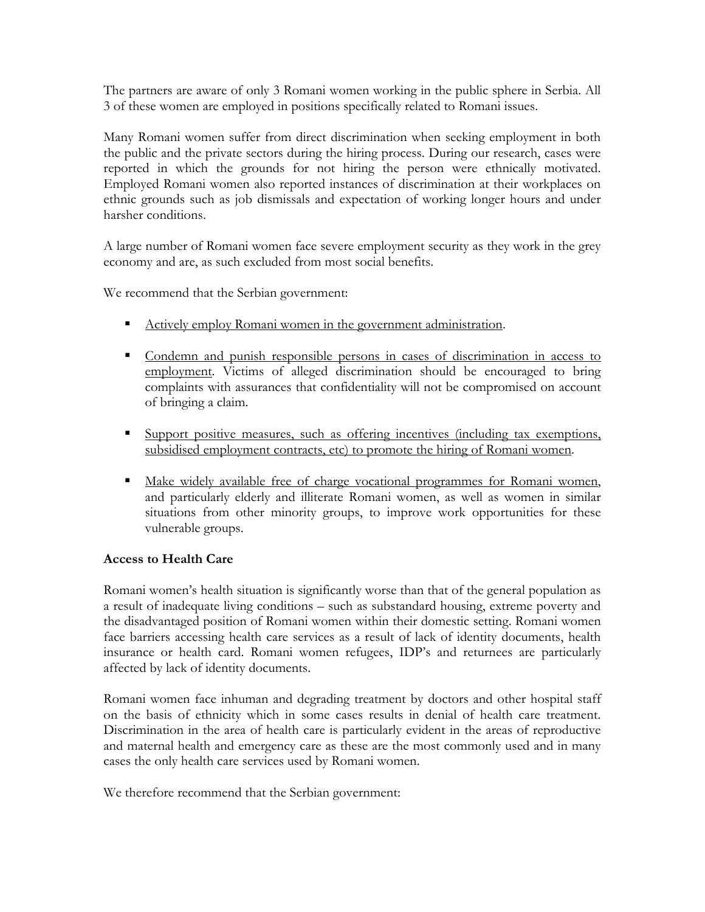The partners are aware of only 3 Romani women working in the public sphere in Serbia. All 3 of these women are employed in positions specifically related to Romani issues.

Many Romani women suffer from direct discrimination when seeking employment in both the public and the private sectors during the hiring process. During our research, cases were reported in which the grounds for not hiring the person were ethnically motivated. Employed Romani women also reported instances of discrimination at their workplaces on ethnic grounds such as job dismissals and expectation of working longer hours and under harsher conditions.

A large number of Romani women face severe employment security as they work in the grey economy and are, as such excluded from most social benefits.

We recommend that the Serbian government:

- Actively employ Romani women in the government administration.
- Condemn and punish responsible persons in cases of discrimination in access to employment. Victims of alleged discrimination should be encouraged to bring complaints with assurances that confidentiality will not be compromised on account of bringing a claim.
- **Support positive measures, such as offering incentives (including tax exemptions,** subsidised employment contracts, etc) to promote the hiring of Romani women.
- Make widely available free of charge vocational programmes for Romani women, and particularly elderly and illiterate Romani women, as well as women in similar situations from other minority groups, to improve work opportunities for these vulnerable groups.

## **Access to Health Care**

Romani women's health situation is significantly worse than that of the general population as a result of inadequate living conditions – such as substandard housing, extreme poverty and the disadvantaged position of Romani women within their domestic setting. Romani women face barriers accessing health care services as a result of lack of identity documents, health insurance or health card. Romani women refugees, IDP's and returnees are particularly affected by lack of identity documents.

Romani women face inhuman and degrading treatment by doctors and other hospital staff on the basis of ethnicity which in some cases results in denial of health care treatment. Discrimination in the area of health care is particularly evident in the areas of reproductive and maternal health and emergency care as these are the most commonly used and in many cases the only health care services used by Romani women.

We therefore recommend that the Serbian government: